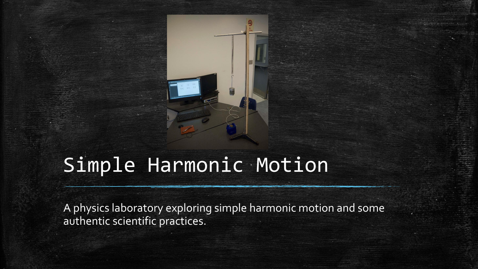# Simple Harmonic Motion

A physics laboratory exploring simple harmonic motion and some authentic scientific practices.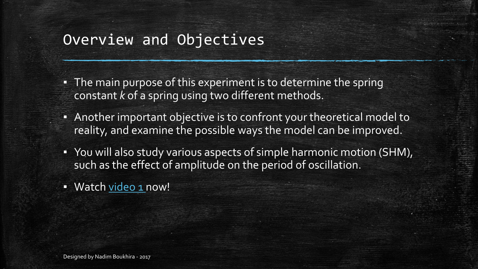# Overview and Objectives

- The main purpose of this experiment is to determine the spring constant *k* of a spring using two different methods.
- Another important objective is to confront your theoretical model to reality, and examine the possible ways the model can be improved.
- You will also study various aspects of simple harmonic motion (SHM), such as the effect of amplitude on the period of oscillation.
- Watch [video](https://youtu.be/TKs6sxqsDm4) 1 now!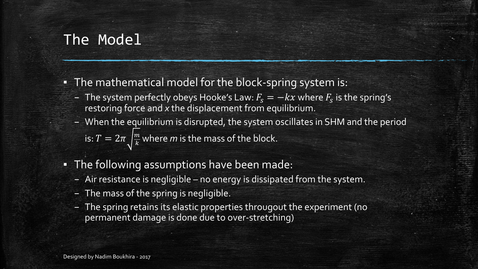# The Model

- **•** The mathematical model for the block-spring system is:
	- The system perfectly obeys Hooke's Law:  $F_{\!s} = -k x$  where  $F_{\!s}$  is the spring's restoring force and *x* the displacement from equilibrium.
	- When the equilibrium is disrupted, the system oscillates in SHM and the period is:  $T=2\pi\sqrt{\frac{m}{k}}$  where  $m$  is the mass of the block.
- **The following assumptions have been made:** 
	- Air resistance is negligible no energy is dissipated from the system.
	- The mass of the spring is negligible.
	- The spring retains its elastic properties througout the experiment (no permanent damage is done due to over-stretching)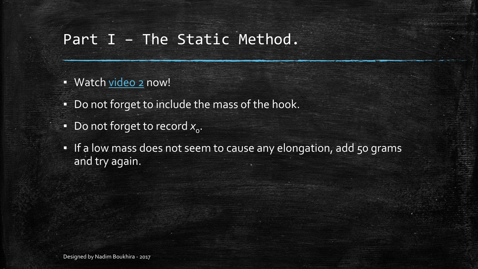# Part I – The Static Method.

- Watch [video](https://youtu.be/LFDGUOEFvXg) 2 now!
- Do not forget to include the mass of the hook.
- $\bullet$  Do not forget to record  $x_{\mathrm{o}}$ .
- . If a low mass does not seem to cause any elongation, add 50 grams and try again.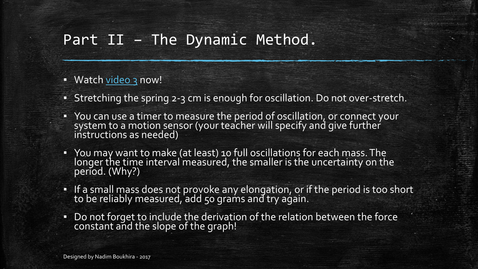# Part II – The Dynamic Method.

#### ▪ Watch [video](https://youtu.be/_JqY2hf8HX4) 3 now!

- Stretching the spring 2-3 cm is enough for oscillation. Do not over-stretch.
- You can use a timer to measure the period of oscillation, or connect your system to a motion sensor (your teacher will specify and give further instructions as needed)
- You may want to make (at least) 10 full oscillations for each mass. The longer the time interval measured, the smaller is the uncertainty on the period. (Why?)
- If a small mass does not provoke any elongation, or if the period is too short to be reliably measured, add 50 grams and try again.
- Do not forget to include the derivation of the relation between the force constant and the slope of the graph!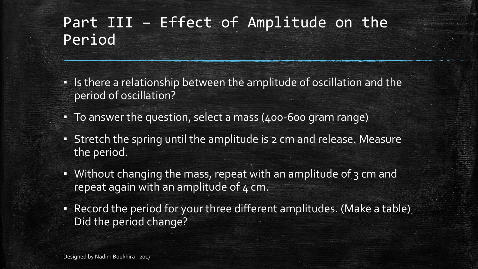# Part III – Effect of Amplitude on the Period

- **Example 2** Is there a relationship between the amplitude of oscillation and the period of oscillation?
- To answer the question, select a mass (400-600 gram range)
- **EXTER 15 FE Stretch the spring until the amplitude is 2 cm and release. Measure** the period.
- Without changing the mass, repeat with an amplitude of 3 cm and repeat again with an amplitude of  $4 \text{ cm}$ .
- **Record the period for your three different amplitudes. (Make a table)** Did the period change?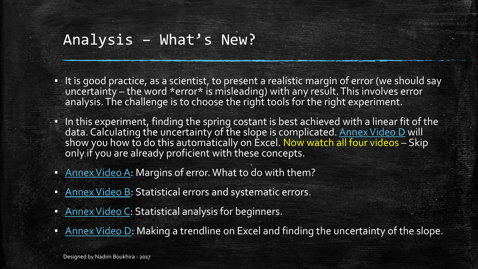### Analysis – What's New?

- It is good practice, as a scientist, to present a realistic margin of error (we should say uncertainty – the word  $*$ error $*$  is misleading) with any result. This involves error analysis. The challenge is to choose the right tools for the right experiment.
- **•** In this experiment, finding the spring costant is best achieved with a linear fit of the data. Calculating the uncertainty of the slope is complicated. <u>Annex Video D</u> will show you how to do this automatically on Excel. Now watch all four videos – Skip only if you are already proficient with these concepts.
- **EXAL Annex Video A: Margins of error. What to do with them?**
- **Annex Video B: Statistical errors and systematic errors.**
- **EXALASHER** Annex Video C: Statistical analysis for beginners.
- **EXALASHER THE Annuary 12 Annuary 11 Annuary 11 Annuary 21 Annuary 11 Annuary 11 Annuary 11 Annuary 11 Annuary 1**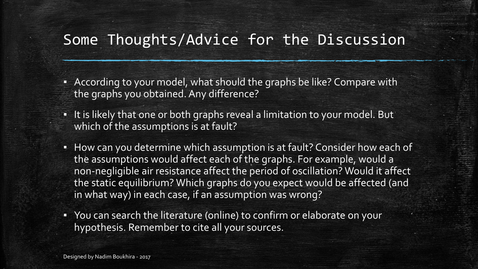# Some Thoughts/Advice for the Discussion

- **EXP** According to your model, what should the graphs be like? Compare with the graphs you obtained. Any difference?
- It is likely that one or both graphs reveal a limitation to your model. But which of the assumptions is at fault?
- How can you determine which assumption is at fault? Consider how each of the assumptions would affect each of the graphs. For example, would a non-negligible air resistance affect the period of oscillation? Would it affect the static equilibrium? Which graphs do you expect would be affected (and in what way) in each case, if an assumption was wrong?
- You can search the literature (online) to confirm or elaborate on your hypothesis. Remember to cite all your sources.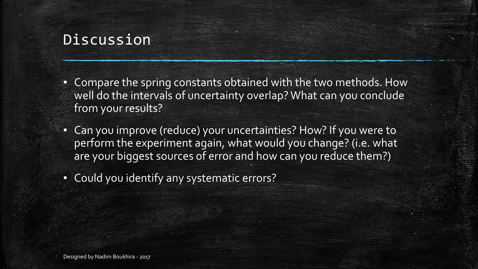## **Discussion**

- Compare the spring constants obtained with the two methods. How well do the intervals of uncertainty overlap? What can you conclude from your results?
- Can you improve (reduce) your uncertainties? How? If you were to perform the experiment again, what would you change? (i.e. what are your biggest sources of error and how can you reduce them?)
- Could you identify any systematic errors?